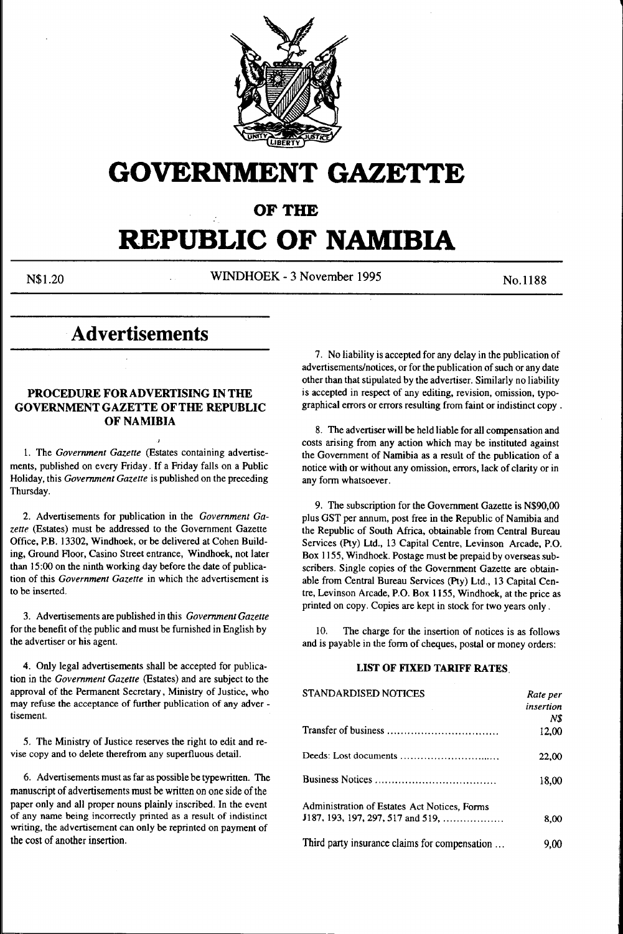

# **GOVERNMENT GAZETTE**

**OF THE** 

# **REPUBLIC OF NAMIBIA**

N\$1.20 WINDHOEK - 3 November 1995 No. 1188

# **Advertisements**

# **PROCEDURE FOR ADVERTISING IN THE GOVERNMENT GAZETTE OF THE REPUBLIC OF NAMIBIA**

1. The *Government Gazette* (Estates containing advertisements, published on every Friday. If a Friday falls on a Public Holiday, this *Government Gazette* is published on the preceding Thursday.

2. Advertisements for publication in the *Government Gazette* (Estates) must be addressed to the Government Gazette Office, P.B. 13302, Windhoek, or be delivered at Cohen Building, Ground Floor, Casino Street entrance, Windhoek, not later than 15:00 on the ninth working day before the date of publication of this *Government Gazette* in which the advertisement is to be inserted.

3. Advertisements are published in this *Government Gazette* for the benefit of the public and must be furnished in English by the advertiser or his agent.

4. Only legal advertisements shall be accepted for publication in the *Government Gazette* (Estates) and are subject to the approval of the Permanent Secretary, Ministry of Justice, who may refuse the acceptance of further publication of any adver tisement.

*5.* The Ministry of Justice reserves the right to edit and revise copy and to delete therefrom any superfluous detail.

6. Advertisements must as far as possible be typewritten. The manuscript of advertisements must be written on one side of the paper only and all proper nouns plainly inscribed. In the event of any name being incorrectly printed as a result of indistinct writing, the advertisement can only be reprinted on payment of the cost of another insertion.

7. No liability is accepted for any delay in the publication of advertisements/notices, or for the publication of such or any date other than that stipulated by the advertiser. Similarly no liability is accepted in respect of any editing, revision, omission, typographical errors or errors resulting from faint or indistinct copy .

8. The advertiser will be held liable for all compensation and costs arising from any action which may be instituted against the Government of Namibia as a result of the publication of a notice with or without any omission, errors, lack of clarity or in any form whatsoever.

9. The subscription for the Government Gazette is N\$90,00 plus GST per annum, post free in the Republic of Namibia and the Republic of South Africa, obtainable from Central Bureau Services (Pty) Ltd., 13 Capital Centre, Levinson Arcade, P.O. Box 1155, Windhoek. Postage must be prepaid by overseas subscribers. Single copies of the Government Gazette are obtainable from Central Bureau Services (Pty) Ltd., 13 Capital Centre, Levinson Arcade, P.O. Box 1155, Windhoek, at the price as printed on copy. Copies are kept in stock for two years only .

10. The charge for the insertion of notices is as follows and is payable in the form of cheques, postal or money orders:

# **LIST OF FIXED TARIFF RATES.**

| <b>STANDARDISED NOTICES</b>                   | Rate per  |
|-----------------------------------------------|-----------|
|                                               | insertion |
|                                               | N\$       |
|                                               | 12.00     |
|                                               | 22,00     |
|                                               | 18.00     |
| Administration of Estates Act Notices, Forms  |           |
| <b>J187, 193, 197, 297, 517 and 519, </b>     | 8.00      |
| Third party insurance claims for compensation | 9.00      |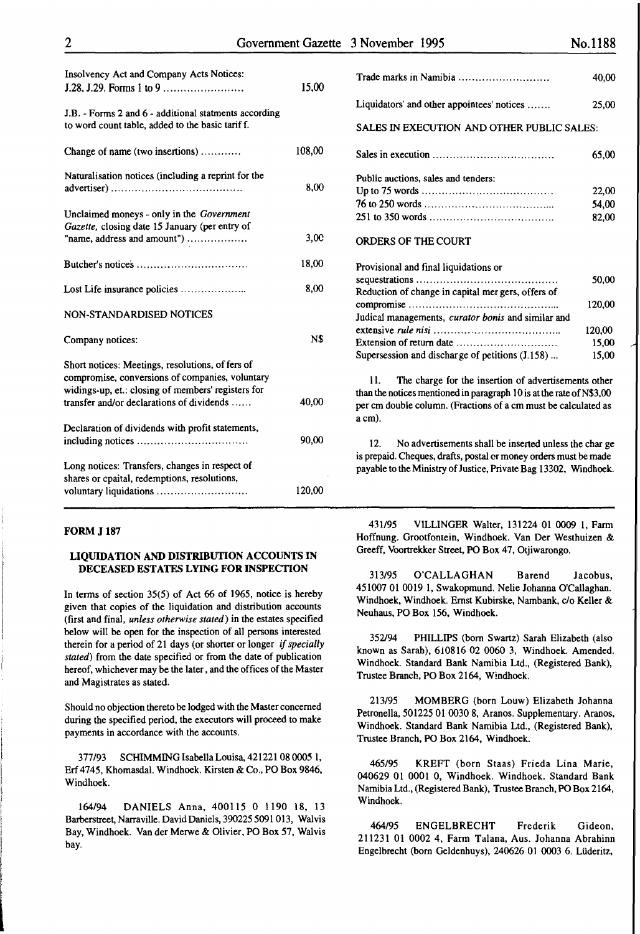| 15,00  |
|--------|
|        |
| 108,00 |
| 8,00   |
|        |
| 3,00   |
| 18,00  |
| 8,00   |
|        |
| N\$    |
|        |
| 40,00  |
| 90,00  |
|        |
| 120,00 |
|        |

#### FORM J187

# LIQUIDATION AND DISTRIBUTION ACCOUNTS IN DECEASED ESTATES LYING FOR INSPECTION

In terms of section  $35(5)$  of Act 66 of 1965, notice is hereby given that copies of the liquidation and distribution accounts (first and final, *unless otherwise stated)* in the estates specified below will be open for the inspection of all persons interested therein for a period of 21 days (or shorter or longer *if specially stated)* from the date specified or from the date of publication hereof, whichever may be the later, and the offices of the Master and Magistrates as stated.

Should no objection thereto be lodged with the Master concerned during the specified period, the executors will proceed to make payments in accordance with the accounts.

377/93 SCHIMMING Isabella Louisa, 421221 08 *0005* l, Erf 4745, Khomasdal. Windhoek. Kirsten & Co., PO Box 9846, Windhoek.

164/94 DANIELS Anna, 400115 0 1190 18, 13 Barberstreet, Narraville. David Daniels, 390225 5091 013, Walvis Bay, Windhoek. Vander Merwe & Olivier, PO Box 57, Walvis bay.

| Trade marks in Namibia                                                                                                                                                                                          | 40,00  |
|-----------------------------------------------------------------------------------------------------------------------------------------------------------------------------------------------------------------|--------|
| Liquidators' and other appointees' notices                                                                                                                                                                      | 25,00  |
| <b>SALES IN EXECUTION AND OTHER PUBLIC SALES:</b>                                                                                                                                                               |        |
| Sales in execution $\ldots, \ldots, \ldots, \ldots, \ldots, \ldots, \ldots, \ldots$                                                                                                                             | 65,00  |
| Public auctions, sales and tenders:                                                                                                                                                                             |        |
|                                                                                                                                                                                                                 | 22,00  |
|                                                                                                                                                                                                                 | 54.00  |
|                                                                                                                                                                                                                 | 82,00  |
| <b>ORDERS OF THE COURT</b>                                                                                                                                                                                      |        |
| Provisional and final liquidations or                                                                                                                                                                           |        |
|                                                                                                                                                                                                                 | 50,00  |
| Reduction of change in capital mer gers, offers of                                                                                                                                                              |        |
|                                                                                                                                                                                                                 | 120,00 |
| Judical managements, <i>curator bonis</i> and similar and                                                                                                                                                       |        |
|                                                                                                                                                                                                                 | 120.00 |
| Extension of return date $\dots\dots\dots\dots\dots\dots\dots\dots\dots\dots$                                                                                                                                   | 15.00  |
| Supersession and discharge of petitions (J.158)                                                                                                                                                                 | 15,00  |
| The charge for the insertion of advertisements other<br>11.<br>than the notices mentioned in paragraph 10 is at the rate of N\$3,00<br>per cm double column. (Fractions of a cm must be calculated as<br>a cm). |        |

12. No advertisements shall be inserted unless the charge is prepaid. Cheques, drafts, postal er money orders must be made payable to the Ministry of Justice, Private Bag 13302, Windhoek.

431/95 VlLLINGER Walter, 131224 01 0009 1, Farm Hoffnung. Grootfontein, Windhoek. Van Der Westhuizen & Greeff, Voortrekker Street, PO Box 47, Otjiwarongo.

313/95 O'CALLAGHAN Barend Jacobus, 451007 01 0019 1, Swakopmund. Nelle Johanna O'Callaghan. Windhoek, Windhoek. Ernst Kubirske, Nambank, c/o Keller & Neuhaus, PO Box 156, Windhoek.

352194 PHILLIPS (born Swartz) Sarah Elizabeth (also known as Sarah), 610816 02 0060 3, Windhoek. Amended. Windhoek. Standard Bank Namibia Ltd., (Registered Bank), Trustee Branch, PO Box 2164, Windhoek.

213/95 MOMBERG (born Louw) Elizabeth Johanna Petronella, 501225 01 0030 8, Aranos. Supplementary. Aranos, Windhoek. Standard Bank Namibia Ltd., (Registered Bank), Trustee Branch, PO Box 2164, Windhoek.

*465!95* KREFT (born Staas) Frieda Lina Marie, 040629 Ol 0001 0, Windhoek. Windhoek. Standard Bank Namibia Ltd., (Registered Bank), Trustee Branch, PO Box 2164, Windhoek.

464/95 ENGELBRECHT Frederik Gideon, 211231 01 0002 4, Farm Talana, Aus. Johanna Abrahinn Engelbrecht (born Geldenhuys), 240626 01 0003 6. Liideritz,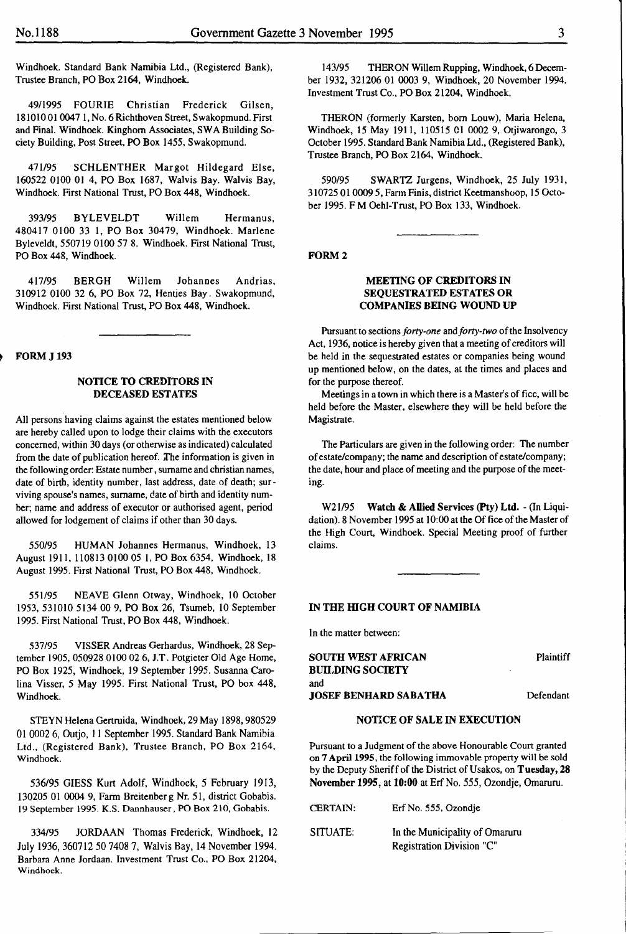Windhoek. Standard Bank Namibia Ltd., (Registered Bank), Trustee Branch, PO Box 2164, Windhoek.

49/1995 FOURIE Christian Frederick Gilsen, 18101001 0047 I, No.6 Richthoven Street, Swakopmund. First and Final. Windhoek. Kinghorn Associates, SW A Building Society Building, Post Street, PO Box 1455, Swakopmund.

471/95 SCHLENTHER Margot Hildegard Else, 160522 0100 01 4, PO Box 1687, Walvis Bay. Walvis Bay, Windhoek. First National Trust, PO Box 448, Windhoek.

393/95 BYLEVELDT Willem Hermanus, 480417 0100 33 1, PO Box 30479, Windhoek. Marlene Byleveldt, 550719 0100 57 8. Windhoek. First National Trust, PO Box 448, Windhoek.

417/95 BERGH Willem Johannes Andrias, 310912 0100 32 6, PO Box 72, Henties Bay. Swakopmund, Windhoek. First National Trust, PO Box 448, Windhoek.

#### **FORM J 193**

# NOTICE TO CREDITORS IN DECEASED ESTATES

All persons having claims against the estates mentioned below are hereby called upon to lodge their claims with the executors concerned, within 30 days (or otherwise as indicated) calculated from the date of publication hereof. The information is given in the following order: Estate number, surname and christian names, date of birth, identity number, last address, date of death; surviving spouse's names, surname, date of birth and identity number; name and address of executor or authorised agent, period allowed for lodgement of claims if other than 30 days.

550/95 HUMAN Johannes Hermanus, Windhoek, 13 August 1911, 110813 0100 05 I, PO Box 6354, Windhoek, 18 August 1995. First National Trust, PO Box 448, Windhoek.

551/95 NEAVE Glenn Otway, Windhoek, 10 October 1953, 531010 5134 00 9, PO Box 26, Tsumeb, 10 September 1995. First National Trust, PO Box 448, Windhoek.

537/95 VISSER Andreas Gerhardus, Windhoek, 28 September 1905, 050928 0100 02 6, J.T. Potgieter Old Age Home, PO Box 1925, Windhoek, 19 September 1995. Susanna Carolina Visser, *5* May 1995. First National Trust, PO box 448, Windhoek.

STEYN Helena Gertruida, Windhoek, 29 May 1898, 980529 OJ 0002 6, Outjo, II September 1995. Standard Bank Namibia Ltd., (Registered Bank), Trustee Branch, PO Box 2164, Windhoek.

*536195* GIESS Kurt Adolf, Windhoek, 5 February 1913, 130205 01 0004 9, Farm Breitenber g Nr. 51, district Gobabis. 19 September 1995. K.S. Dannhauser, PO Box 210, Gobabis.

334/95 JORDAAN Thomas Frederick, Windhoek, 12 July 1936, 360712 50 7408 7, Walvis Bay, 14 November 1994. Barbara Anne Jordaan. Investment Trust Co., PO Box 21204, Windhoek.

143/95 THERON Willem Rupping, Windhoek, 6 December 1932, 321206 01 0003 9, Windhoek, 20 November 1994. Investment Trust Co., PO Box 21204, Windhoek.

THERON (formerly Karsten, born Louw), Maria Helena, Windhoek, 15 May 1911, 110515 01 0002 9, Otjiwarongo, 3 October 1995. Standard Bank Namibia Ltd., (Registered Bank), Trustee Branch, PO Box 2164, Windhoek.

590/95 SWARTZ Jurgens, Windhoek, 25 July 1931, 310725 01 0009 5, Farm Finis, district Keetmanshoop, 15 October 1995. F M Oehl-Trust, PO Box 133, Windhoek.

#### FORM<sub>2</sub>

#### MEETING OF CREDITORS IN SEQUESTRATED ESTATES OR COMPANIES BEING WOUND UP

Pursuant to sections *forty-one* and *forty-two* of the lnsoivency Act, 1936, notice is hereby given that a meeting of creditors will be held in the sequestrated estates or companies being wound up mentioned below, on the dates, at the times and places and for the purpose thereof.

Meetings in a town in which there is a Master's of fice, will be held before the Master, elsewhere they will be held before the Magistrate.

The Particulars are given in the following order: The number of estate/company; the name and description of estate/company; the date, hour and place of meeting and the purpose of the meeting.

W21/95 Watch & Allied Services (Pty) Ltd. - (In Liquidation). 8 November 1995 at 10:00 at the Of fice of the Master of the High Court, Windhoek. Special Meeting proof of further claims.

#### IN THE HIGH COURT OF NAMIBIA

In the matter between:

| SOUTH WEST AFRICAN<br><b>BUILDING SOCIETY</b> | ٠ |
|-----------------------------------------------|---|
| and                                           |   |
| JOSEF BENHARD SABATHA                         |   |

Plaintiff

#### Defendant

#### NOTICE OF SALE IN EXECUTION

Pursuant to a Judgment of the above Honourable Court granted on 7 Apri11995, the following immovable property will be sold by the Deputy Sheriff of the District of Usakos, on Tuesday, 28 November 1995, at 10:00 at Erf No. 555, Ozondje, Ornaruru.

| <b>CERTAIN:</b> | Erf No. 555, Ozondie                                        |
|-----------------|-------------------------------------------------------------|
| SITUATE:        | In the Municipality of Omaruru<br>Registration Division "C" |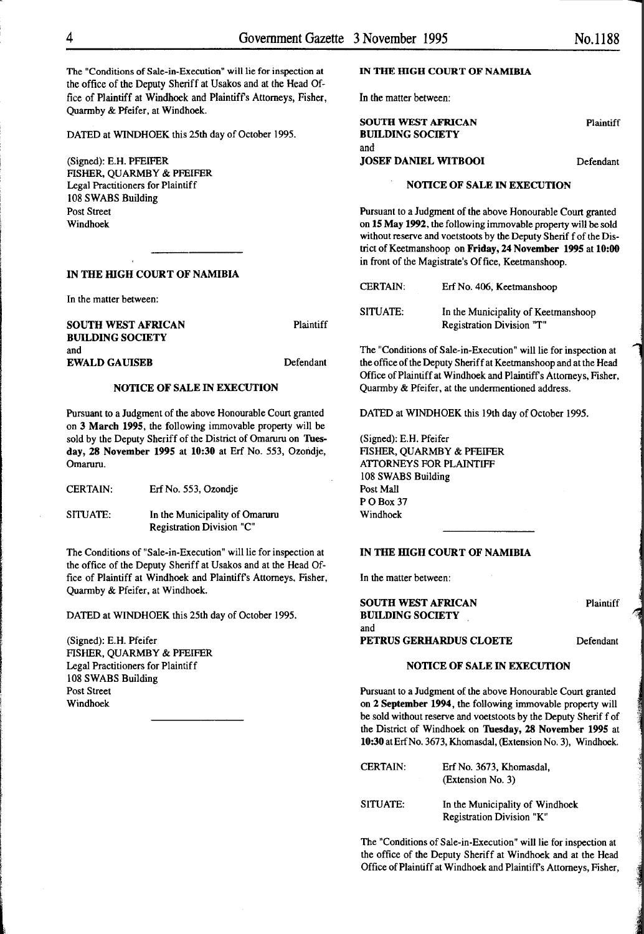The "Conditions of Sale-in-Execution" will lie for inspection at the office of the Deputy Sheriff at Usakos and at the Head Office of Plaintiff at Windhoek and Plaintiffs Attorneys, Fisher, Quarmby & Pfeifer, at Windhoek.

DATED at WINDHOEK this 25th day of October 1995.

(Signed): E.H. PFEIFER FISHER, QUARMBY & PFEIFER Legal Practitioners for Plaintiff 108 SWABS Building Post Street Windhoek

#### IN THE HIGH COURT OF NAMIBIA

In the matter between:

SOUTH WEST AFRICAN BUILDING SOCIETY and **Plaintiff** EWALD GAUISEB Defendant

#### NOTICE OF SALE IN EXECUTION

Pursuant to a Judgment of the above Honourable Court granted on 3 March 1995, the following immovable property will be sold by the Deputy Sheriff of the District of Omaruru on Tuesday, 28 November 1995 at 10:30 at Erf No. 553, Ozondje, Omaruru.

CERTAIN: Erf No. 553, Ozondje

SITUATE: In the Municipality of Omaruru Registration Division "C"

The Conditions of "Sale-in-Execution" will lie for inspection at the office of the Deputy Sheriff at Usakos and at the Head Office of Plaintiff at Windhoek and Plaintiffs Attorneys, Fisher, Quarmby & Pfeifer, at Windhoek.

DATED at WINDHOEK this 25th day of October 1995.

(Signed): E.H. Pfeifer FISHER, QUARMBY & PFEIFER Legal Practitioners for Plaintiff 108 SWABS Building Post Street Windhoek

l

#### IN THE HIGH COURT OF NAMIBIA

In the matter between:

| Plaintiff |
|-----------|
|           |
|           |
| Defendant |
|           |

# NOTICE OF SALE IN EXECUTION

Pursuant to a Judgment of the above Honourable Court granted on 15 May 1992, the following immovable property will be sold without reserve and voetstoots by the Deputy Sherif f of the District of Keetmanshoop on Friday, 24 November 1995 at 10:00 in front of the Magistrate's Office, Keetmanshoop.

| <b>CERTAIN:</b> | Erf No. 406, Keetmanshoop           |
|-----------------|-------------------------------------|
| SITUATE:        | In the Municipality of Keetmanshoop |
|                 | Registration Division "T"           |

The "Conditions of Sale-in-Execution" will lie for inspection at the office of the Deputy Sheriff at Keetmanshoop and at the Head Office of Plaintiff at Windhoek and Plaintiffs Attorneys, Fisher, Quarmby & Pfeifer, at the underrnentioned address.

DATED at WINDHOEK this 19th day of October 1995.

(Signed): E.H. Pfeifer FISHER, QUARMBY & PFEIFER ATTORNEYS FOR PLAINTIFF 108 SWABS Building Post Mall PO<sub>Box</sub> 37 Windhoek

# IN THE HIGH COURT OF NAMIBIA

In the matter between:

SOUTH WEST AFRICAN BUILDING SOCIETY and PETRUS GERHARDUS CLOETE Defendant

Plaintiff

#### NOTICE OF SALE IN EXECUTION

Pursuant to a Judgment of the above Honourable Court granted on 2 September 1994, the following immovable property will be sold without reserve and voetstoots by the Deputy Sherif f of the District of Windhoek on Tuesday, 28 November 1995 at 10:30 atErfNo. 3673, Khomasdal, (Extension No.3), Windhoek.

| <b>CERTAIN:</b> | Erf No. 3673, Khomasdal,<br>(Extension No. 3)                |
|-----------------|--------------------------------------------------------------|
| SITUATE:        | In the Municipality of Windhoek<br>Registration Division "K" |

The "Conditions of Sale-in-Execution" will lie for inspection at the office of the Deputy Sheriff at Windhoek and at the Head Office of Plaintiff at Windhoek and Plaintiffs Attorneys, Fisher,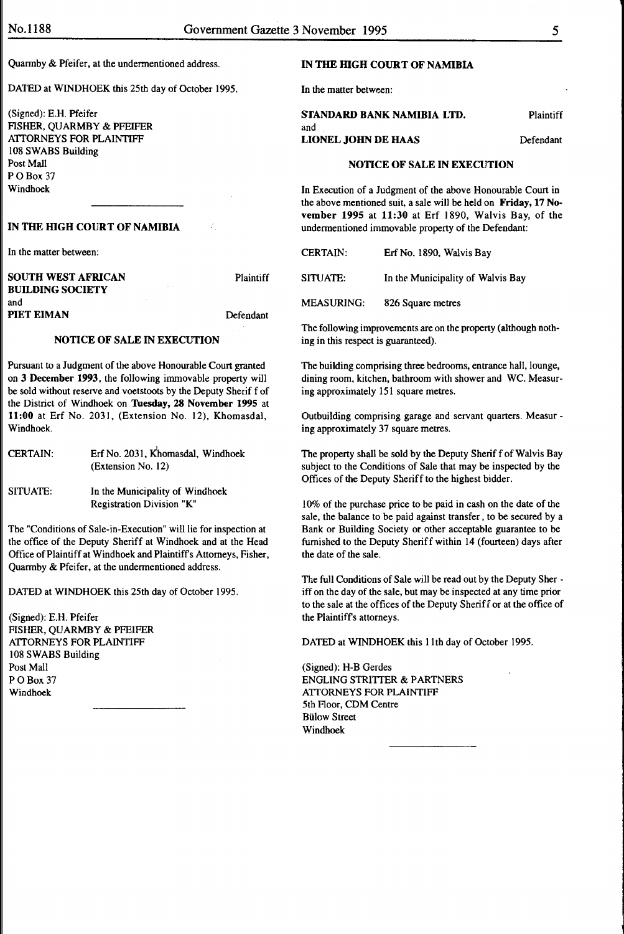and

Quarmby & Pfeifer, at the undermentioned address.

DATED at WINDHOEK this 25th day of October 1995.

(Signed): E.H. Pfeifer FISHER, QUARMBY & PFEIFER ATTORNEYS FOR PLAINTIFF 108 SWABS Building Post Mall PO Box 37 Windhoek

## IN THE HIGH COURT OF NAMIBIA

In the matter between:

| SOUTH WEST AFRICAN      | Plaintiff |
|-------------------------|-----------|
| <b>BUILDING SOCIETY</b> |           |
| and                     |           |
| PIET EIMAN              | Defendant |

# NOTICE OF SALE IN EXECUTION

Pursuant to a Judgment of the above Honourable Court granted on 3 December 1993, the following immovable property will be sold without reserve and voetstoots by the Deputy Sherif f of the District of Windhoek on Tuesday, 28 November 1995 at 11:00 at Erf No. 2031, (Extension No. 12), Khomasdal, Windhoek.

| <b>CERTAIN:</b> | Erf No. 2031, Khomasdal, Windhoek |
|-----------------|-----------------------------------|
|                 | (Extension No. 12)                |

SITUATE: In the Municipality of Windhoek Registration Division "K"

The "Conditions of Sale-in-Execution" will lie for inspection at the office of the Deputy Sheriff at Windhoek and at the Head Office of Plaintiff at Windhoek and Plaintiffs Attorneys, Fisher, Quarmby & Pfeifer, at the undermentioned address.

DATED at WINDHOEK this 25th day of October 1995.

(Signed): E.H. Pfeifer FISHER, QUARMBY & PFEIFER ATTORNEYS FOR PLAINTIFF 108 SWABS Building Post Mall PO Box 37 Windhoek

#### IN THE HIGH COURT OF NAMIBIA

In the matter between:

STANDARD BANK NAMIBIA LTD. Plaintiff

# NOTICE OF SALE IN EXECUTION

LIONEL JOHN DE HAAS Defendant

In Execution of a Judgment of the above Honourable Court in the above mentioned suit, a sale will be held on Friday, 17 November 1995 at 11:30 at Erf 1890, Walvis Bay, of the undermentioned immovable property of the Defendant:

| <b>CERTAIN:</b> |  | Erf No. 1890, Walvis Bay |  |
|-----------------|--|--------------------------|--|
|                 |  |                          |  |

SITUATE: In the Municipality of Walvis Bay

MEASURING: 826 Square metres

The following improvements are on the property (although nothing in this respect is guaranteed).

The building comprising three bedrooms, entrance hall, lounge, dining room, kitchen, bathroom with shower and WC. Measuring approximately 151 square metres.

Outbuilding comprising garage and servant quarters. Measur ing approximately 37 square metres.

The property shall be sold by the Deputy Sherif f of Walvis Bay subject to the Conditions of Sale that may be inspected by the Offices of the Deputy Sheriff to the highest bidder.

I 0% of the purchase price to be paid in cash on the date of the sale, the balance to be paid against transfer , to be secured by a Bank or Building Society or other acceptable guarantee to be furnished to the Deputy Sheriff within 14 (fourteen) days after the date of the sale.

The full Conditions of Sale will be read out by the Deputy Sher iff on the day of the sale, but may be inspected at any time prior to the sale at the offices of the Deputy Sheriff or at the office of the Plaintiffs attorneys.

DATED at WINDHOEK this 11th day of October 1995.

(Signed): H-B Gerdes ENGLING STRITTER & PARTNERS ATTORNEYS FOR PLAINTIFF 5th Floor, CDM Centre Biilow Street Windhoek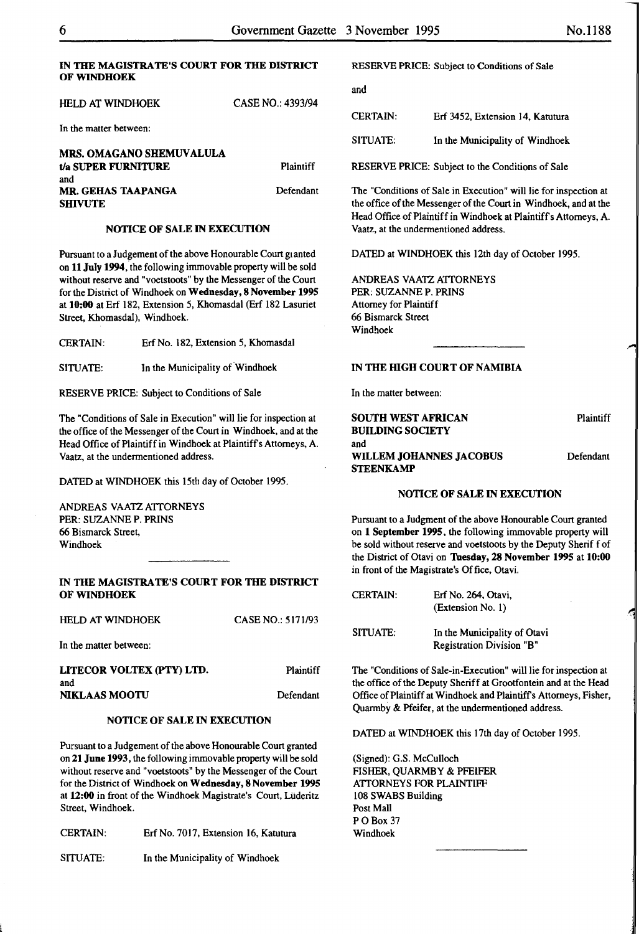# IN THE MAGISTRATE'S COURT FOR THE DISTRICT OF WINDHOEK

| HELD AT WINDHOEK       | CASE NO.: 4393/94 |
|------------------------|-------------------|
| In the matter between: |                   |

| <b>MRS. OMAGANO SHEMUVALULA</b> |           |
|---------------------------------|-----------|
| t/a SUPER FURNITURE             | Plaintiff |
| and                             |           |
| <b>MR. GEHAS TAAPANGA</b>       | Defendant |
| <b>SHIVUTE</b>                  |           |

#### NOTICE OF SALE IN EXECUTION

Pursuant to a Judgement of the above Honourable Court granted on 11 July 1994, the following immovable property will be sold without reserve and "voetstoots" by the Messenger of the Court for the District of Windhoek on Wednesday, 8 November 1995 at 10:00 at Erf 182, Extension 5, Khomasdal (Erf 182 Lasuriet Street, Khomasdal), Windhoek.

CERTAIN: Erf No. 182, Extension 5, Khomasdal

SITUATE: In the Municipality of Windhoek

RESERVE PRICE: Subject to Conditions of Sale

The "Conditions of Sale in Execution" will lie for inspection at the office of the Messenger of the Court in Windhoek, and at the Head Office of Plaintiff in Windhoek at Plaintiffs Attorneys, A. Vaatz, at the undermentioned address.

DATED at WINDHOEK this 15th day of October 1995.

ANDREAS VAATZ ATTORNEYS PER: SUZANNE P. PRINS 66 Bismarck Street, Windhoek

#### IN THE MAGISTRATE'S COURT FOR THE DISTRICT OF WINDHOEK

CASE NO.: 5171/93

HELD AT WINDHOEK

In the matter between:

| LITECOR VOLTEX (PTY) LTD. | <b>Plaintiff</b> |
|---------------------------|------------------|
| and                       |                  |
| <b>NIKLAAS MOOTU</b>      | Defendant        |

#### NOTICE OF SALE IN EXECUTION

Pursuant to a Judgement of the above Honourable Court granted on 21 June 1993, the following immovable property will be sold without reserve and "voetstoots" by the Messenger of the Court for the District of Windhoek on Wednesday, 8 November 1995 at 12:00 in front of the Windhoek Magistrate's Court, Liideritz Street, Windhoek.

CERTAIN: Erf No. 7017, Extension 16, Katutura

SITUATE: In the Municipality of Windhoek

and

| <b>CERTAIN:</b> | Erf 3452, Extension 14, Katutura |
|-----------------|----------------------------------|
| SITUATE:        | In the Municipality of Windhoek  |

RESERVE PRICE: Subject to the Conditions of Sale

The "Conditions of Sale in Execution" will lie for inspection at the office of the Messenger of the Court in Windhoek, and at the Head Office of Plaintiff in Windhoek at Plaintiffs Attorneys, A. Vaatz, at the undermentioned address.

DATED at WINDHOEK this 12th day of October 1995.

ANDREAS VAATZ ATTORNEYS PER: SUZANNE P. PRINS Attorney for Plaintiff 66 Bismarck Street Windhoek

#### IN THE HIGH COURT OF NAMIBIA

In the matter between:

| SOUTH WEST AFRICAN      | Plaintiff |
|-------------------------|-----------|
| <b>BUILDING SOCIETY</b> |           |
| and                     |           |
| WILLEM JOHANNES JACOBUS | Defendant |
| <b>STEENKAMP</b>        |           |

#### NOTICE OF SALE IN EXECUTION

Pursuant to a Judgment of the above Honourable Court granted on 1 September 1995, the following immovable property will be sold without reserve and voetstoots by the Deputy Sherif f of the District of Otavi on Tuesday, 28 November 1995 at 10:00 in front of the Magistrate's Of fice, Otavi.

CERTAIN: SITUATE: Erf No. 264, Otavi, (Extension No. 1) In the Municipality of Otavi Registration Division "B"

The "Conditions of Sale-in-Execution" will lie for inspection at the office of the Deputy Sheriff at Grootfontein and at the Head Office of Plaintiff at Windhoek and Plaintiffs Attorneys, Fisher, Quarmby & Pfeifer, at the undermentioned address.

DATED at WINDHOEK this 17th day of October 1995.

(Signed): G.S. McCulloch FISHER, QUARMBY & PFEIFER ATTORNEYS FOR PLAINTIFF 108 SWABS Building Post Mall PO Box 37 Windhoek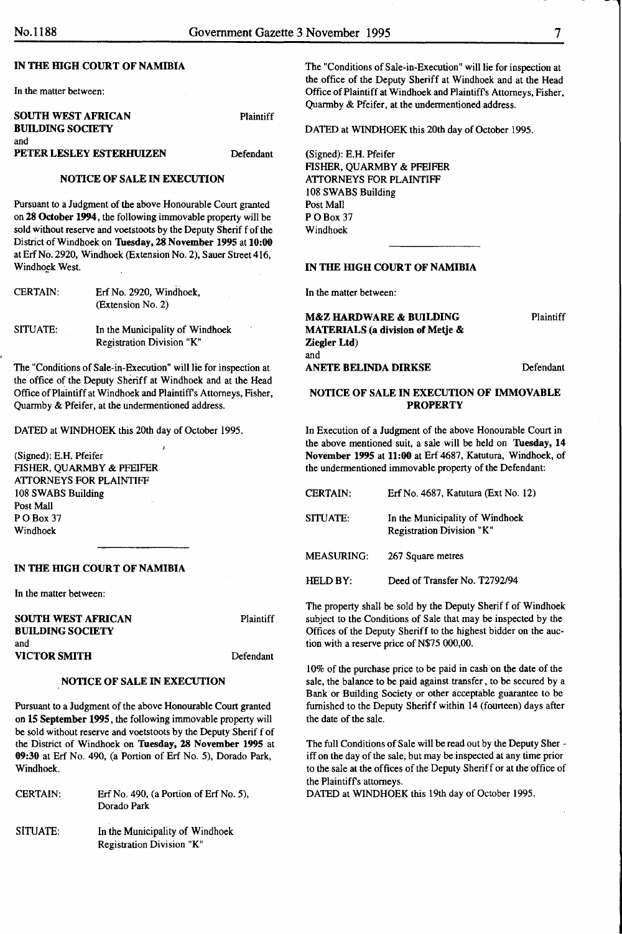#### IN THE HIGH COURT OF NAMIBIA

In the matter between:

| <b>SOUTH WEST AFRICAN</b> | <b>Plaintiff</b> |
|---------------------------|------------------|
| <b>BUILDING SOCIETY</b>   |                  |
| and                       |                  |
| PETER LESLEY ESTERHUIZEN  | Defendant        |

#### NOTICE OF SALE IN EXECUTION

Pursuant to a Judgment of the above Honourable Court granted on 28 October 1994, the following immovable property will be sold without reserve and voetstoots by the Deputy Sherif f of the District of Windhoek on Thesday, 28 November 1995 at 10:00 at Erf No. 2920, Windhoek (Extension No. 2), Sauer Street 416, Windhoek West.

| <b>CERTAIN:</b> | Erf No. 2920, Windhoek,<br>(Extension No. 2)                 |
|-----------------|--------------------------------------------------------------|
| SITUATE:        | In the Municipality of Windhoek<br>Registration Division "K" |

The "Conditions of Sale-in-Execution" will lie for inspection at the office of the Deputy Sheriff at Windhoek and at the Head Office of Plaintiff at Windhoek and Plaintiffs Attorneys, Fisher, Quarmby & Pfeifer, at the undermentioned address.

DATED at WINDHOEK this 20th day of October 1995.

(Signed): E.H. Pfeifer FISHER, QUARMBY & PFEIFER ATTORNEYS FOR PLAINTIFF 108 SWABS Building Post Mall PO<sub>Box</sub> 37 Windhoek

#### IN THE HIGH COURT OF NAMIBIA

In the matter between:

| <b>SOUTH WEST AFRICAN</b> | Plaintiff |
|---------------------------|-----------|
| <b>BUILDING SOCIETY</b>   |           |
| and                       |           |
| VICTOR SMITH              | Defendant |

#### NOTICE OF SALE IN EXECUTION

Pursuant to a Judgment of the above Honourable Court granted on 15 September 1995, the following immovable property will be sold without reserve and voetstoots by the Deputy Sherif f of the District of Windhoek on Tuesday, 28 November 1995 at 09:30 at Erf No. 490, (a Portion of Erf No. 5), Dorado Park, Windhoek.

CERTAIN: Erf No. 490, (a Portion of Erf No. 5), Dorado Park

SITUATE: In the Municipality of Windhoek Registration Division "K"

The "Conditions of Sale-in-Execution" will lie for inspection at the office of the Deputy Sheriff at Windhoek and at the Head Office of Plaintiff at Windhoek and Plaintiffs Attorneys, Fisher, Quarmby & Pfeifer, at the undermentioned address.

DATED at WINDHOEK this 20th day of October 1995.

(Signed): E.H. Pfeifer FISHER, QUARMBY & PFEIFER ATTORNEYS FOR PLAINTIFF 108 SWABS Building Post Mall POB<sub>ox</sub> 37 Windhoek

# IN THE HIGH COURT OF NAMIBIA

In the matter between:

M&Z HARDWARE & BUILDING MATERIALS (a division of Metje & Ziegler Ltd) and Plaintiff ANETE BELINDA DIRKSE Defendant

#### NOTICE OF SALE IN EXECUTION OF IMMOVABLE **PROPERTY**

In Execution of a Judgment of the above Honourable Court in the above mentioned suit, a sale will be held on Tuesday, 14 November 1995 at 11:00 at Erf 4687, Katutura, Windhoek, of the undermentioned immovable property of the Defendant:

| <b>CERTAIN:</b>   | Erf No. 4687, Katutura (Ext No. 12)                          |
|-------------------|--------------------------------------------------------------|
| SITUATE:          | In the Municipality of Windhoek<br>Registration Division "K" |
| <b>MEASURING:</b> | 267 Square metres                                            |
| HELD BY:          | Deed of Transfer No. T2792/94                                |

The property shall be sold by the Deputy Sheriff of Windhoek subject to the Conditions of Sale that may be inspected by the Offices of the Deputy Sheriff to the highest bidder on the auction with a reserve price of N\$75 000,00.

10% of the purchase price to be paid in cash on the date of the sale, the balance to be paid against transfer, to be secured by a Bank or Building Society or other acceptable guarantee to be furnished to the Deputy Sheriff within 14 (fourteen) days after the date of the sale.

The full Conditions of Sale will be read out by the Deputy Sher iff on the day of the sale, but may be inspected at any time prior to the sale at the offices of the Deputy Sheriff or at the office of the Plaintiffs attorneys.

DATED at WINDHOEK this 19th day of October I995.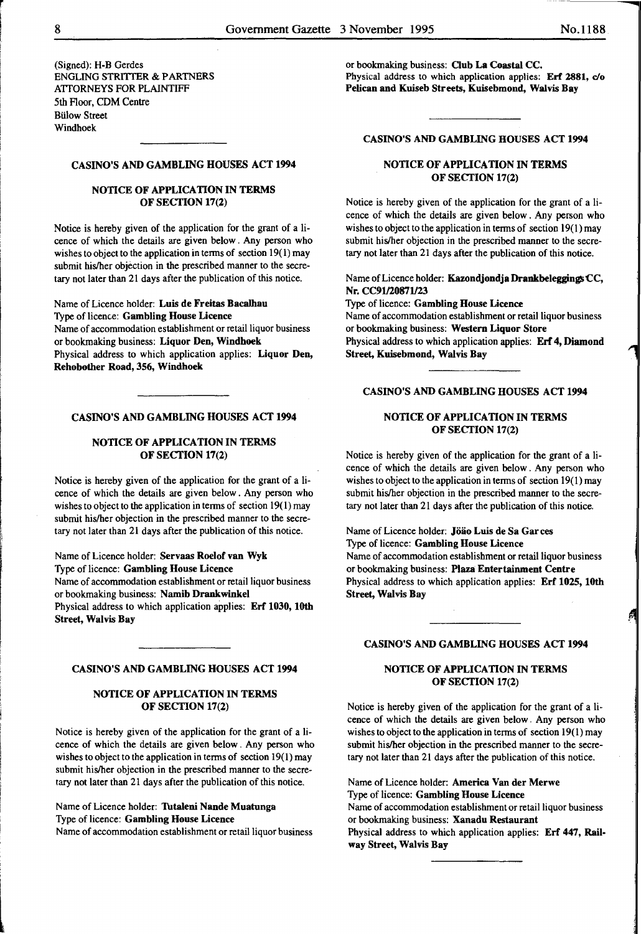(Signed): H-B Gerdes ENGLING STRITIER & PARTNERS ATTORNEYS FOR PLAINTIFF 5th floor, CDM Centre **Bülow Street** Windhoek

# CASINO'S AND GAMBLING HOUSES ACT 1994

#### NOTICE OF APPLICATION IN TERMS OF SECTION 17(2)

Notice is hereby given of the application for the grant of a licence of which the details are given below. Any person who wishes to object to the application in terms of section  $19(1)$  may submit his/her objection in the prescribed manner to the secretary not later than 21 days after the publication of this notice.

Name of Licence holder: Luis de Freitas Bacalhau Type of licence: Gambling House Licence Name of accommodation establishment or retail liquor business or bookmaking business: Liquor Den, Windhoek Physical address to which application applies: Liquor Den, Rehobother Road, 356, Windhoek

#### CASINO'S AND GAMBLING HOUSES ACT 1994

#### NOTICE OF APPLICATION IN TERMS OF SECTION 17(2)

Notice is hereby given of the application for the grant of a licence of which the details are given below . Any person who wishes to object to the application in terms of section  $19(1)$  may submit his/her objection in the prescribed manner to the secretary not later than 21 days after the publication of this notice.

Name of Licence holder: Servaas Roelof van Wyk Type of licence: Gambling House Licence Name of accommodation establishment or retail liquor business or bookmaking business: Namib Drankwinkel Physical address to which application applies: Erf 1030, 10th Street, Walvis Bay

#### CASINO'S AND GAMBLING HOUSES ACT 1994

#### NOTICE OF APPLICATION IN TERMS OF SECTION 17(2)

Notice is hereby given of the application for the grant of a licence of which the details are given below. Any person who wishes to object to the application in terms of section 19(1) may submit his/her objection in the prescribed manner to the secretary not later than 21 days after the publication of this notice.

Name of Licence holder: Tutaleni Nande Muatunga Type of licence: Gambling House Licence

Name of accommodation establishment or retail liquor business

or bookmaking business: Club La Coastal CC. Physical address to which application applies: Erf 2881, c/o Pelican and Kuiseb Streets, Kuisebmond, Walvis Bay

#### CASINO'S AND GAMBLING HOUSES ACT 1994

# NOTICE OF APPLICATION IN TERMS OF SECTION 17(2)

Notice is hereby given of the application for the grant of a licence of which the details are given below . Any person who wishes to object to the application in terms of section  $19(1)$  may submit his/her objection in the prescribed manner to the secretary not later than 21 days after the publication of this notice.

Name of Licence holder: Kazondjondja Drankbeleggings CC, Nr. CC91/20871/23

Type of licence: Gambling House Licence Name of accommodation establishment or retail liquor business or bookmaking business: Western Liquor Store Physical address to which application applies: Erf 4, Diamond Street, Kuisebmond, Walvis Bay

# CASINO'S AND GAMBLING HOUSES ACT 1994

# NOTICE OF APPLICATION IN TERMS OF SECTION 17(2)

Notice is hereby given of the application for the grant of a licence of which the details are given below. Any person who wishes to object to the application in terms of section  $19(1)$  may submit his/her objection in the prescribed manner to the secretary not later than 21 days after the publication of this notice.

Name of Licence holder: Jöäo Luis de Sa Garces Type of licence: Gambling House Licence Name of accommodation establishment or retail liquor business or bookmaking business: Plaza Entertainment Centre Physical address to which application applies: Erf 1025, 10th Street, Walvis Bay

#### CASINO'S AND GAMBLING HOUSES ACT 1994

# NOTICE OF APPLICATION IN TERMS OF SECTION 17(2)

Notice is hereby given of the application for the grant of a licence of which the details are given below. Any person who wishes to object to the application in terms of section 19(1) may submit his/her objection in the prescribed manner to the secretary not later than 21 days after the publication of this notice.

Name of Licence holder: America Van der Merwe Type of licence: Gambling House Licence Name of accommodation establishment or retail liquor business or bookmaking business: Xanadu Restaurant Physical address to which application applies: Erf 447, Railway Street, Walvis Bay

r

'

light and the control of the control of the control of the control of the control of the control of the control of the control of the control of the control of the control of the control of the control of the control of th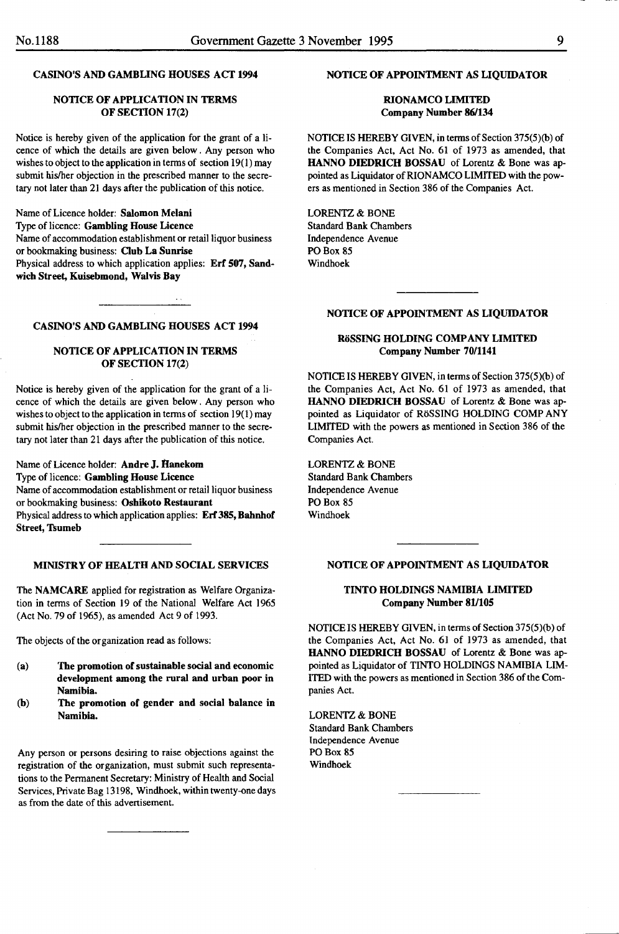# CASINO'S AND GAMBLING HOUSES ACT 1994

# NOTICE OF APPLICATION IN TERMS OF SECTION 17(2)

Notice is hereby given of the application for the grant of a licence of which the details are given below. Any person who wishes to object to the application in terms of section 19(1) may submit his/her objection in the prescribed manner to the secretary not later than 21 days after the publication of this notice.

Name of Licence holder: Salomon Melani Type of licence: Gambling House Licence Name of accommodation establishment or retail liquor business or bookmaking business: Club La Sunrise Physical address to which application applies: Erf 507, Sandwich Street, Kuisebmond, Walvis Bay

# CASINO'S AND GAMBLING HOUSES ACT 1994

# NOTICE OF APPLICATION IN TERMS OF SECTION 17(2)

Notice is hereby given of the application for the grant of a licence of which the details are given below. Any person who wishes to object to the application in terms of section 19(1) may submit his/her objection in the prescribed manner to the secretary not later than 21 days after the publication of this notice.

Name of Licence holder: Andre J.Hanekom Type of licence: Gambling House Licence Name of accommodation establishment or retail liquor business or bookmaking business: Oshikoto Restaurant Physical address to which application applies: Erf 385, Bahnhof Street, Tsumeb

# MINISTRY OF HEALTH AND SOCIAL SERVICES

The NAMCARE applied for registration as Welfare Organization in terms of Section 19 of the National Welfare Act 1965 (Act No. 79 of 1965), as amended Act 9 of 1993.

The objects of the organization read as follows:

- (a) The promotion of sustainable social and economic development among the rural and urban poor in Namibia.
- (b) The promotion of gender and social balance in Namibia.

Any person or persons desiring to raise objections against the registration of the organization, must submit such representations to the Permanent Secretary: Ministry of Health and Social Services, Private Bag 13198, Windhoek, within twenty-one days as from the date of this advertisement.

#### NOTICE OF APPOINTMENT AS LIQUIDATOR

#### RIONAMCO LIMITED Company Number 86/134

NOTICE IS HEREBY GIVEN, in terms of Section 375(5)(b) of the Companies Act, Act No. 61 of 1973 as amended, that HANNO DIEDRICH BOSSAU of Lorentz & Bone was appointed as Liquidator of RIONAMCO LIMITED with the powers as mentioned in Section 386 of the Companies Act.

LORENTZ & BONE Standard Bank Chambers Independence Avenue PO Box 85 Windhoek

# NOTICE OF APPOINTMENT AS LIQUIDATOR

# RöSSING HOLDING COMPANY LIMITED Company Number 70/1141

NOTICE IS HEREBY GIVEN, in terms of Section 375(5)(b) of the Companies Act, Act No. 61 of 1973 as amended, that HANNO DIEDRICH BOSSAU of Lorentz & Bone was appointed as Liquidator of RoSSING HOLDING COMPANY LIMITED with the powers as mentioned in Section 386 of the Companies Act.

LORENTZ & BONE Standard Bank Chambers Independence Avenue PO Box 85 Windhoek

#### NOTICE OF APPOINTMENT AS LIQUIDATOR

# TINTO HOLDINGS NAMIBIA LIMITED Company Number 81/105

NOTICE IS HEREBY GIVEN, in terms of Section 375(5)(b) of the Companies Act, Act No. 61 of 1973 as amended, that HANNO DIEDRICH BOSSAU of Lorentz & Bone was appointed as Liquidator of TINTO HOLDINGS NAMIBIA LIM-ITED with the powers as mentioned in Section 386 of the Companies Act.

LORENTZ & BONE Standard Bank Chambers Independence Avenue PO Box 85 Windhoek